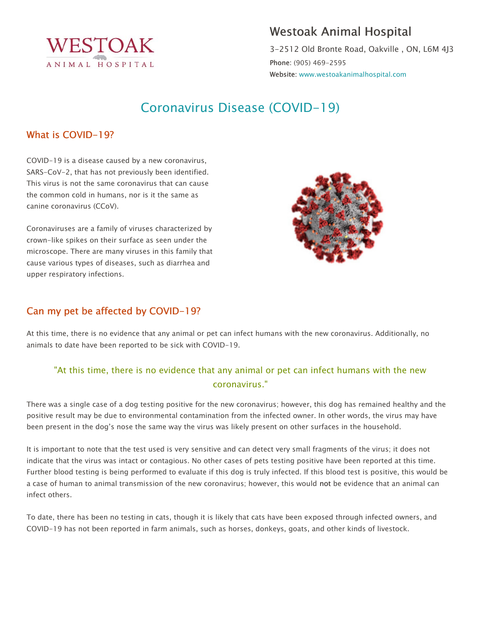

## Westoak Animal Hospital

3-2512 Old Bronte Road, Oakville , ON, L6M 4J3 Phone: (905) 469-2595 Website: www.westoakanimalhospital.com

# Coronavirus Disease (COVID-19)

## What is COVID-19?

COVID-19 is a disease caused by a new coronavirus, SARS-CoV-2, that has not previously been identified. This virus is not the same coronavirus that can cause the common cold in humans, nor is it the same as canine coronavirus (CCoV).

Coronaviruses are a family of viruses characterized by crown-like spikes on their surface as seen under the microscope. There are many viruses in this family that cause various types of diseases, such as diarrhea and upper respiratory infections.



## Can my pet be affected by COVID-19?

At this time, there is no evidence that any animal or pet can infect humans with the new coronavirus. Additionally, no animals to date have been reported to be sick with COVID-19.

## "At this time, there is no evidence that any animal or pet can infect humans with the new coronavirus."

There was a single case of a dog testing positive for the new coronavirus; however, this dog has remained healthy and the positive result may be due to environmental contamination from the infected owner. In other words, the virus may have been present in the dog's nose the same way the virus was likely present on other surfaces in the household.

It is important to note that the test used is very sensitive and can detect very small fragments of the virus; it does not indicate that the virus was intact or contagious. No other cases of pets testing positive have been reported at this time. Further blood testing is being performed to evaluate if this dog is truly infected. If this blood test is positive, this would be a case of human to animal transmission of the new coronavirus; however, this would not be evidence that an animal can infect others.

To date, there has been no testing in cats, though it is likely that cats have been exposed through infected owners, and COVID-19 has not been reported in farm animals, such as horses, donkeys, goats, and other kinds of livestock.